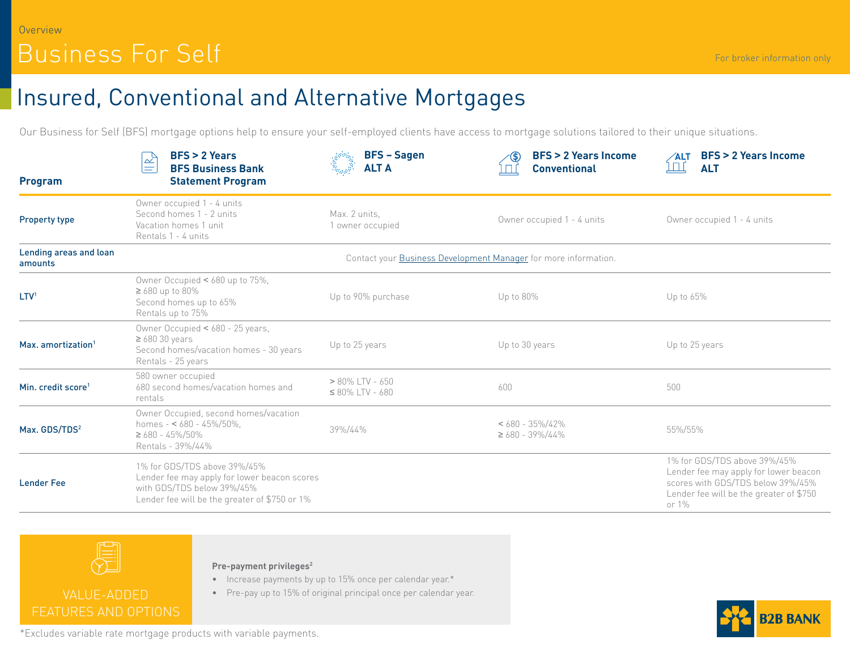# Insured, Conventional and Alternative Mortgages

Our Business for Self (BFS) mortgage options help to ensure your self-employed clients have access to mortgage solutions tailored to their unique situations.

| <b>Program</b>                    | $BFS > 2$ Years<br>$\frac{1}{2}$<br>$=$<br><b>BFS Business Bank</b><br><b>Statement Program</b>                                                             | <b>BFS-Sagen</b><br>Lindarion (d. 1979)<br>1930 - Paris Barcelon, Paris et Santa (d. 1970)<br>1930 - Paris Britannico (d. 1970)<br><b>ALT A</b> | <b>BFS &gt; 2 Years Income</b><br><b>Conventional</b>           | <b>BFS &gt; 2 Years Income</b><br>∕ALT<br><u>ז הן </u><br><b>ALT</b>                                                                                           |
|-----------------------------------|-------------------------------------------------------------------------------------------------------------------------------------------------------------|-------------------------------------------------------------------------------------------------------------------------------------------------|-----------------------------------------------------------------|----------------------------------------------------------------------------------------------------------------------------------------------------------------|
| <b>Property type</b>              | Owner occupied 1 - 4 units<br>Second homes 1 - 2 units<br>Vacation homes 1 unit<br>Rentals 1 - 4 units                                                      | Max. 2 units.<br>1 owner occupied                                                                                                               | Owner occupied 1 - 4 units                                      | Owner occupied 1 - 4 units                                                                                                                                     |
| Lending areas and loan<br>amounts |                                                                                                                                                             |                                                                                                                                                 | Contact your Business Development Manager for more information. |                                                                                                                                                                |
| LTV <sup>1</sup>                  | Owner Occupied < 680 up to 75%,<br>$\geq 680$ up to $80\%$<br>Second homes up to 65%<br>Rentals up to 75%                                                   | Up to 90% purchase                                                                                                                              | Up to 80%                                                       | Up to 65%                                                                                                                                                      |
| Max. amortization <sup>1</sup>    | Owner Occupied < 680 - 25 years,<br>$\geq 68030$ years<br>Second homes/vacation homes - 30 years<br>Rentals - 25 years                                      | Up to 25 years                                                                                                                                  | Up to 30 years                                                  | Up to 25 years                                                                                                                                                 |
| Min. credit score <sup>1</sup>    | 580 owner occupied<br>680 second homes/vacation homes and<br>rentals                                                                                        | $> 80\%$ LTV - 650<br>$\leq 80\%$ LTV - 680                                                                                                     | 600                                                             | 500                                                                                                                                                            |
| Max. GDS/TDS <sup>2</sup>         | Owner Occupied, second homes/vacation<br>homes - $< 680 - 45\%/50\%$ .<br>$\geq 680 - 45\%/50\%$<br>Rentals - 39%/44%                                       | 39%/44%                                                                                                                                         | $< 680 - 35\%/42\%$<br>$\geq 680 - 39\%/44\%$                   | 55%/55%                                                                                                                                                        |
| <b>Lender Fee</b>                 | 1% for GDS/TDS above 39%/45%<br>Lender fee may apply for lower beacon scores<br>with GDS/TDS below 39%/45%<br>Lender fee will be the greater of \$750 or 1% |                                                                                                                                                 |                                                                 | 1% for GDS/TDS above 39%/45%<br>Lender fee may apply for lower beacon<br>scores with GDS/TDS below 39%/45%<br>Lender fee will be the greater of \$750<br>or 1% |



### **Pre-payment privileges2**

- Increase payments by up to 15% once per calendar year.\*
- Pre-pay up to 15% of original principal once per calendar year.



\*Excludes variable rate mortgage products with variable payments.